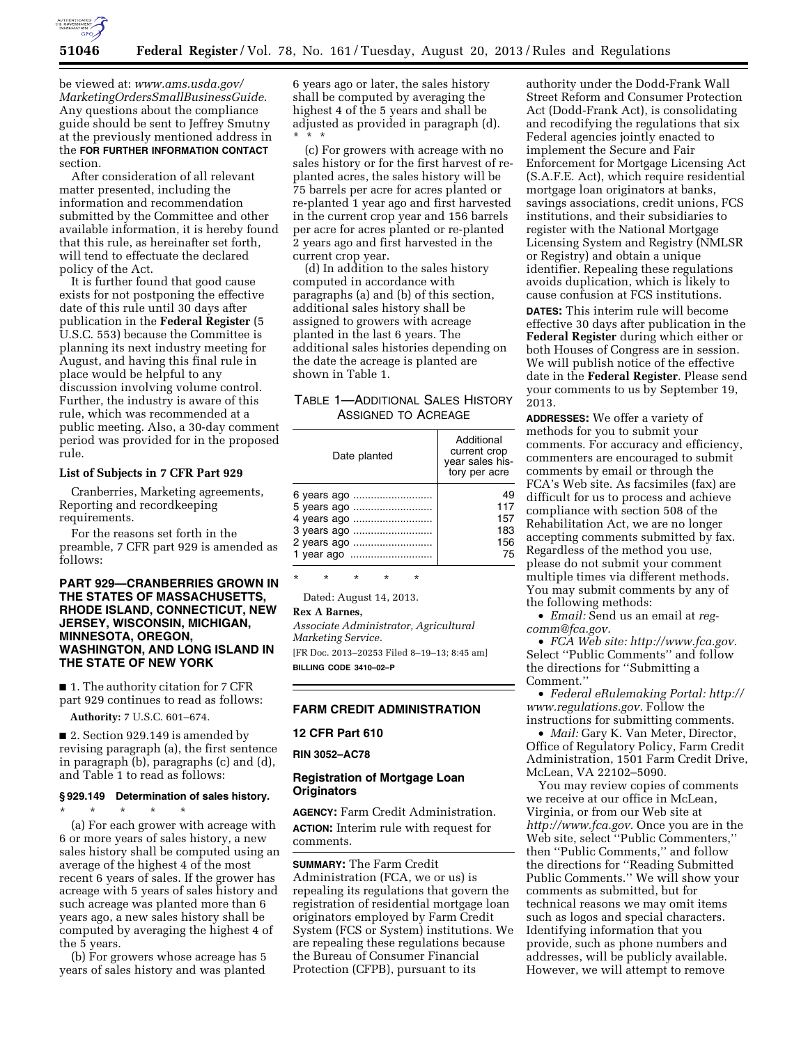

be viewed at: *[www.ams.usda.gov/](http://www.ams.usda.gov/MarketingOrdersSmallBusinessGuide) [MarketingOrdersSmallBusinessGuide](http://www.ams.usda.gov/MarketingOrdersSmallBusinessGuide)*. Any questions about the compliance guide should be sent to Jeffrey Smutny at the previously mentioned address in the **FOR FURTHER INFORMATION CONTACT** section.

After consideration of all relevant matter presented, including the information and recommendation submitted by the Committee and other available information, it is hereby found that this rule, as hereinafter set forth, will tend to effectuate the declared policy of the Act.

It is further found that good cause exists for not postponing the effective date of this rule until 30 days after publication in the **Federal Register** (5 U.S.C. 553) because the Committee is planning its next industry meeting for August, and having this final rule in place would be helpful to any discussion involving volume control. Further, the industry is aware of this rule, which was recommended at a public meeting. Also, a 30-day comment period was provided for in the proposed rule.

#### **List of Subjects in 7 CFR Part 929**

Cranberries, Marketing agreements, Reporting and recordkeeping requirements.

For the reasons set forth in the preamble, 7 CFR part 929 is amended as follows:

### **PART 929—CRANBERRIES GROWN IN THE STATES OF MASSACHUSETTS, RHODE ISLAND, CONNECTICUT, NEW JERSEY, WISCONSIN, MICHIGAN, MINNESOTA, OREGON, WASHINGTON, AND LONG ISLAND IN THE STATE OF NEW YORK**

■ 1. The authority citation for 7 CFR part 929 continues to read as follows:

**Authority:** 7 U.S.C. 601–674.

■ 2. Section 929.149 is amended by revising paragraph (a), the first sentence in paragraph (b), paragraphs (c) and (d), and Table 1 to read as follows:

# **§ 929.149 Determination of sales history.**

\* \* \* \* \* (a) For each grower with acreage with 6 or more years of sales history, a new sales history shall be computed using an average of the highest 4 of the most recent 6 years of sales. If the grower has acreage with 5 years of sales history and such acreage was planted more than 6 years ago, a new sales history shall be computed by averaging the highest 4 of the 5 years.

(b) For growers whose acreage has 5 years of sales history and was planted

6 years ago or later, the sales history shall be computed by averaging the highest 4 of the 5 years and shall be adjusted as provided in paragraph (d). \* \* \*

(c) For growers with acreage with no sales history or for the first harvest of replanted acres, the sales history will be 75 barrels per acre for acres planted or re-planted 1 year ago and first harvested in the current crop year and 156 barrels per acre for acres planted or re-planted 2 years ago and first harvested in the current crop year.

(d) In addition to the sales history computed in accordance with paragraphs (a) and (b) of this section, additional sales history shall be assigned to growers with acreage planted in the last 6 years. The additional sales histories depending on the date the acreage is planted are shown in Table 1.

# TABLE 1—ADDITIONAL SALES HISTORY ASSIGNED TO ACREAGE

| Date planted | Additional<br>current crop<br>year sales his-<br>tory per acre |
|--------------|----------------------------------------------------------------|
| 6 years ago  | 49                                                             |
| 5 years ago  | 117                                                            |
| 4 years ago  | 157                                                            |
| 3 years ago  | 183                                                            |
| 2 years ago  | 156                                                            |
|              | 75                                                             |

\* \* \* \* \*

Dated: August 14, 2013.

**Rex A Barnes,** 

*Associate Administrator, Agricultural Marketing Service.*  [FR Doc. 2013–20253 Filed 8–19–13; 8:45 am]

**BILLING CODE 3410–02–P** 

## **FARM CREDIT ADMINISTRATION**

### **12 CFR Part 610**

**RIN 3052–AC78** 

### **Registration of Mortgage Loan Originators**

**AGENCY:** Farm Credit Administration. **ACTION:** Interim rule with request for comments.

**SUMMARY:** The Farm Credit Administration (FCA, we or us) is repealing its regulations that govern the registration of residential mortgage loan originators employed by Farm Credit System (FCS or System) institutions. We are repealing these regulations because the Bureau of Consumer Financial Protection (CFPB), pursuant to its

authority under the Dodd-Frank Wall Street Reform and Consumer Protection Act (Dodd-Frank Act), is consolidating and recodifying the regulations that six Federal agencies jointly enacted to implement the Secure and Fair Enforcement for Mortgage Licensing Act (S.A.F.E. Act), which require residential mortgage loan originators at banks, savings associations, credit unions, FCS institutions, and their subsidiaries to register with the National Mortgage Licensing System and Registry (NMLSR or Registry) and obtain a unique identifier. Repealing these regulations avoids duplication, which is likely to cause confusion at FCS institutions. **DATES:** This interim rule will become effective 30 days after publication in the **Federal Register** during which either or both Houses of Congress are in session. We will publish notice of the effective date in the **Federal Register**. Please send your comments to us by September 19, 2013.

**ADDRESSES:** We offer a variety of methods for you to submit your comments. For accuracy and efficiency, commenters are encouraged to submit comments by email or through the FCA's Web site. As facsimiles (fax) are difficult for us to process and achieve compliance with section 508 of the Rehabilitation Act, we are no longer accepting comments submitted by fax. Regardless of the method you use, please do not submit your comment multiple times via different methods. You may submit comments by any of the following methods:

• *Email:* Send us an email at *[reg](mailto:reg-comm@fca.gov)[comm@fca.gov.](mailto:reg-comm@fca.gov)* 

• *FCA Web site: [http://www.fca.gov.](http://www.fca.gov)*  Select ''Public Comments'' and follow the directions for ''Submitting a Comment.''

• *Federal eRulemaking Portal: [http://](http://www.regulations.gov)  [www.regulations.gov.](http://www.regulations.gov)* Follow the instructions for submitting comments.

• *Mail:* Gary K. Van Meter, Director, Office of Regulatory Policy, Farm Credit Administration, 1501 Farm Credit Drive, McLean, VA 22102–5090.

You may review copies of comments we receive at our office in McLean, Virginia, or from our Web site at *[http://www.fca.gov.](http://www.fca.gov)* Once you are in the Web site, select ''Public Commenters,'' then ''Public Comments,'' and follow the directions for ''Reading Submitted Public Comments.'' We will show your comments as submitted, but for technical reasons we may omit items such as logos and special characters. Identifying information that you provide, such as phone numbers and addresses, will be publicly available. However, we will attempt to remove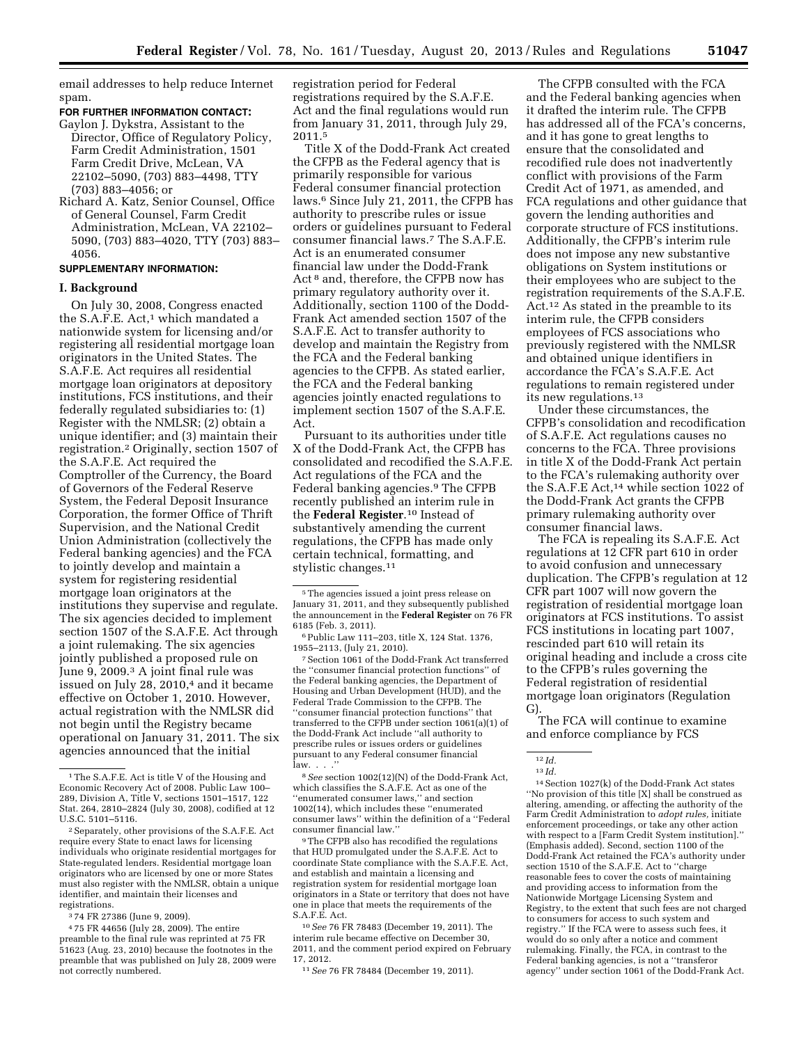email addresses to help reduce Internet spam.

### **FOR FURTHER INFORMATION CONTACT:**

- Gaylon J. Dykstra, Assistant to the Director, Office of Regulatory Policy, Farm Credit Administration, 1501 Farm Credit Drive, McLean, VA 22102–5090, (703) 883–4498, TTY (703) 883–4056; or
- Richard A. Katz, Senior Counsel, Office of General Counsel, Farm Credit Administration, McLean, VA 22102– 5090, (703) 883–4020, TTY (703) 883– 4056.

### **SUPPLEMENTARY INFORMATION:**

### **I. Background**

On July 30, 2008, Congress enacted the S.A.F.E. Act,<sup>1</sup> which mandated a nationwide system for licensing and/or registering all residential mortgage loan originators in the United States. The S.A.F.E. Act requires all residential mortgage loan originators at depository institutions, FCS institutions, and their federally regulated subsidiaries to: (1) Register with the NMLSR; (2) obtain a unique identifier; and (3) maintain their registration.2 Originally, section 1507 of the S.A.F.E. Act required the Comptroller of the Currency, the Board of Governors of the Federal Reserve System, the Federal Deposit Insurance Corporation, the former Office of Thrift Supervision, and the National Credit Union Administration (collectively the Federal banking agencies) and the FCA to jointly develop and maintain a system for registering residential mortgage loan originators at the institutions they supervise and regulate. The six agencies decided to implement section 1507 of the S.A.F.E. Act through a joint rulemaking. The six agencies jointly published a proposed rule on June 9, 2009.3 A joint final rule was issued on July 28, 2010,<sup>4</sup> and it became effective on October 1, 2010. However, actual registration with the NMLSR did not begin until the Registry became operational on January 31, 2011. The six agencies announced that the initial

registration period for Federal registrations required by the S.A.F.E. Act and the final regulations would run from January 31, 2011, through July 29, 2011.5

Title X of the Dodd-Frank Act created the CFPB as the Federal agency that is primarily responsible for various Federal consumer financial protection laws.6 Since July 21, 2011, the CFPB has authority to prescribe rules or issue orders or guidelines pursuant to Federal consumer financial laws.7 The S.A.F.E. Act is an enumerated consumer financial law under the Dodd-Frank Act 8 and, therefore, the CFPB now has primary regulatory authority over it. Additionally, section 1100 of the Dodd-Frank Act amended section 1507 of the S.A.F.E. Act to transfer authority to develop and maintain the Registry from the FCA and the Federal banking agencies to the CFPB. As stated earlier, the FCA and the Federal banking agencies jointly enacted regulations to implement section 1507 of the S.A.F.E. Act.

Pursuant to its authorities under title X of the Dodd-Frank Act, the CFPB has consolidated and recodified the S.A.F.E. Act regulations of the FCA and the Federal banking agencies.9 The CFPB recently published an interim rule in the **Federal Register**.10 Instead of substantively amending the current regulations, the CFPB has made only certain technical, formatting, and stylistic changes.11

7Section 1061 of the Dodd-Frank Act transferred the ''consumer financial protection functions'' of the Federal banking agencies, the Department of Housing and Urban Development (HUD), and the Federal Trade Commission to the CFPB. The ''consumer financial protection functions'' that transferred to the CFPB under section 1061(a)(1) of the Dodd-Frank Act include ''all authority to prescribe rules or issues orders or guidelines pursuant to any Federal consumer financial  $\lim_{x \to \infty}$ 

8*See* section 1002(12)(N) of the Dodd-Frank Act, which classifies the S.A.F.E. Act as one of the ''enumerated consumer laws,'' and section 1002(14), which includes these ''enumerated consumer laws'' within the definition of a ''Federal consumer financial law.''

9The CFPB also has recodified the regulations that HUD promulgated under the S.A.F.E. Act to coordinate State compliance with the S.A.F.E. Act, and establish and maintain a licensing and registration system for residential mortgage loan originators in a State or territory that does not have one in place that meets the requirements of the S.A.F.E. Act.

10*See* 76 FR 78483 (December 19, 2011). The interim rule became effective on December 30, 2011, and the comment period expired on February 17, 2012.

11*See* 76 FR 78484 (December 19, 2011).

The CFPB consulted with the FCA and the Federal banking agencies when it drafted the interim rule. The CFPB has addressed all of the FCA's concerns, and it has gone to great lengths to ensure that the consolidated and recodified rule does not inadvertently conflict with provisions of the Farm Credit Act of 1971, as amended, and FCA regulations and other guidance that govern the lending authorities and corporate structure of FCS institutions. Additionally, the CFPB's interim rule does not impose any new substantive obligations on System institutions or their employees who are subject to the registration requirements of the S.A.F.E. Act.12 As stated in the preamble to its interim rule, the CFPB considers employees of FCS associations who previously registered with the NMLSR and obtained unique identifiers in accordance the FCA's S.A.F.E. Act regulations to remain registered under its new regulations.13

Under these circumstances, the CFPB's consolidation and recodification of S.A.F.E. Act regulations causes no concerns to the FCA. Three provisions in title X of the Dodd-Frank Act pertain to the FCA's rulemaking authority over the S.A.F.E Act,14 while section 1022 of the Dodd-Frank Act grants the CFPB primary rulemaking authority over consumer financial laws.

The FCA is repealing its S.A.F.E. Act regulations at 12 CFR part 610 in order to avoid confusion and unnecessary duplication. The CFPB's regulation at 12 CFR part 1007 will now govern the registration of residential mortgage loan originators at FCS institutions. To assist FCS institutions in locating part 1007, rescinded part 610 will retain its original heading and include a cross cite to the CFPB's rules governing the Federal registration of residential mortgage loan originators (Regulation G).

The FCA will continue to examine and enforce compliance by FCS

<sup>1</sup>The S.A.F.E. Act is title V of the Housing and Economic Recovery Act of 2008. Public Law 100– 289, Division A, Title V, sections 1501–1517, 122 Stat. 264, 2810–2824 (July 30, 2008), codified at 12 U.S.C. 5101–5116.

<sup>2</sup>Separately, other provisions of the S.A.F.E. Act require every State to enact laws for licensing individuals who originate residential mortgages for State-regulated lenders. Residential mortgage loan originators who are licensed by one or more States must also register with the NMLSR, obtain a unique identifier, and maintain their licenses and registrations.

<sup>3</sup> 74 FR 27386 (June 9, 2009).

<sup>4</sup> 75 FR 44656 (July 28, 2009). The entire preamble to the final rule was reprinted at 75 FR 51623 (Aug. 23, 2010) because the footnotes in the preamble that was published on July 28, 2009 were not correctly numbered.

<sup>5</sup>The agencies issued a joint press release on January 31, 2011, and they subsequently published the announcement in the **Federal Register** on 76 FR 6185 (Feb. 3, 2011).

<sup>6</sup>Public Law 111–203, title X, 124 Stat. 1376, 1955–2113, (July 21, 2010).

 $12 \frac{Id}{.}$ 13 *Id.* 

<sup>14</sup>Section 1027(k) of the Dodd-Frank Act states ''No provision of this title [X] shall be construed as altering, amending, or affecting the authority of the Farm Credit Administration to *adopt rules,* initiate enforcement proceedings, or take any other action with respect to a [Farm Credit System institution].'' (Emphasis added). Second, section 1100 of the Dodd-Frank Act retained the FCA's authority under section 1510 of the S.A.F.E. Act to ''charge reasonable fees to cover the costs of maintaining and providing access to information from the Nationwide Mortgage Licensing System and Registry, to the extent that such fees are not charged to consumers for access to such system and registry.'' If the FCA were to assess such fees, it would do so only after a notice and comment rulemaking. Finally, the FCA, in contrast to the Federal banking agencies, is not a ''transferor agency'' under section 1061 of the Dodd-Frank Act.